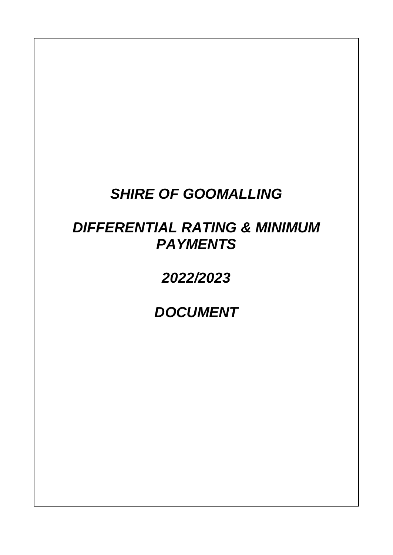## *SHIRE OF GOOMALLING*

# *DIFFERENTIAL RATING & MINIMUM PAYMENTS*

## *2022/2023*

*DOCUMENT*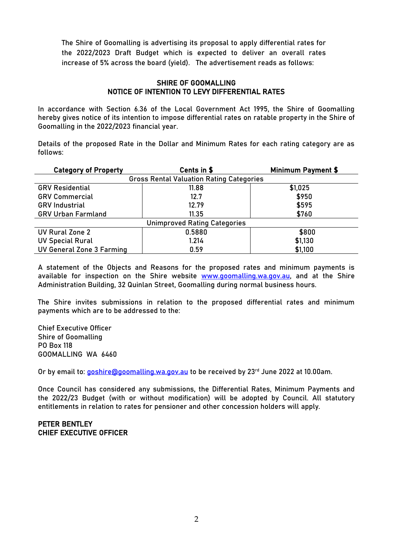The Shire of Goomalling is advertising its proposal to apply differential rates for the 2022/2023 Draft Budget which is expected to deliver an overall rates increase of 5% across the board (yield). The advertisement reads as follows:

#### SHIRE OF GOOMALLING NOTICE OF INTENTION TO LEVY DIFFERENTIAL RATES

In accordance with Section 6.36 of the Local Government Act 1995, the Shire of Goomalling hereby gives notice of its intention to impose differential rates on ratable property in the Shire of Goomalling in the 2022/2023 financial year.

Details of the proposed Rate in the Dollar and Minimum Rates for each rating category are as follows:

| <b>Category of Property</b>                     | Cents in \$<br><b>Minimum Payment \$</b> |         |  |  |  |  |
|-------------------------------------------------|------------------------------------------|---------|--|--|--|--|
| <b>Gross Rental Valuation Rating Categories</b> |                                          |         |  |  |  |  |
| <b>GRV Residential</b>                          | 11.88                                    | \$1,025 |  |  |  |  |
| <b>GRV Commercial</b>                           | 12.7                                     | \$950   |  |  |  |  |
| <b>GRV</b> Industrial                           | 12.79                                    | \$595   |  |  |  |  |
| <b>GRV Urban Farmland</b>                       | 11.35                                    | \$760   |  |  |  |  |
| <b>Unimproved Rating Categories</b>             |                                          |         |  |  |  |  |
| UV Rural Zone 2                                 | 0.5880                                   | \$800   |  |  |  |  |
| <b>UV Special Rural</b>                         | 1.214                                    | \$1,130 |  |  |  |  |
| UV General Zone 3 Farming                       | 0.59                                     | \$1,100 |  |  |  |  |

A statement of the Objects and Reasons for the proposed rates and minimum payments is available for inspection on the Shire website [www.goomalling.wa.gov.au,](http://www.goomalling.wa.gov.au/) and at the Shire Administration Building, 32 Quinlan Street, Goomalling during normal business hours.

The Shire invites submissions in relation to the proposed differential rates and minimum payments which are to be addressed to the:

Chief Executive Officer Shire of Goomalling PO Box 118 GOOMALLING WA 6460

Or by email to: [goshire@goomalling.wa.gov.au](mailto:goshire@goomalling.wa.gov.au) to be received by  $23<sup>rd</sup>$  June 2022 at 10.00am.

Once Council has considered any submissions, the Differential Rates, Minimum Payments and the 2022/23 Budget (with or without modification) will be adopted by Council. All statutory entitlements in relation to rates for pensioner and other concession holders will apply.

#### PETER BENTLEY CHIEF EXECUTIVE OFFICER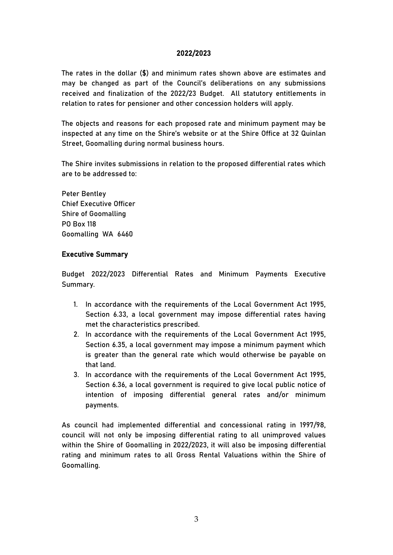#### 2022/2023

The rates in the dollar (\$) and minimum rates shown above are estimates and may be changed as part of the Council's deliberations on any submissions received and finalization of the 2022/23 Budget. All statutory entitlements in relation to rates for pensioner and other concession holders will apply.

The objects and reasons for each proposed rate and minimum payment may be inspected at any time on the Shire's website or at the Shire Office at 32 Quinlan Street, Goomalling during normal business hours.

The Shire invites submissions in relation to the proposed differential rates which are to be addressed to:

Peter Bentley Chief Executive Officer Shire of Goomalling PO Box 118 Goomalling WA 6460

#### Executive Summary

Budget 2022/2023 Differential Rates and Minimum Payments Executive Summary.

- 1. In accordance with the requirements of the Local Government Act 1995, Section 6.33, a local government may impose differential rates having met the characteristics prescribed.
- 2. In accordance with the requirements of the Local Government Act 1995, Section 6.35, a local government may impose a minimum payment which is greater than the general rate which would otherwise be payable on that land.
- 3. In accordance with the requirements of the Local Government Act 1995, Section 6.36, a local government is required to give local public notice of intention of imposing differential general rates and/or minimum payments.

As council had implemented differential and concessional rating in 1997/98, council will not only be imposing differential rating to all unimproved values within the Shire of Goomalling in 2022/2023, it will also be imposing differential rating and minimum rates to all Gross Rental Valuations within the Shire of Goomalling.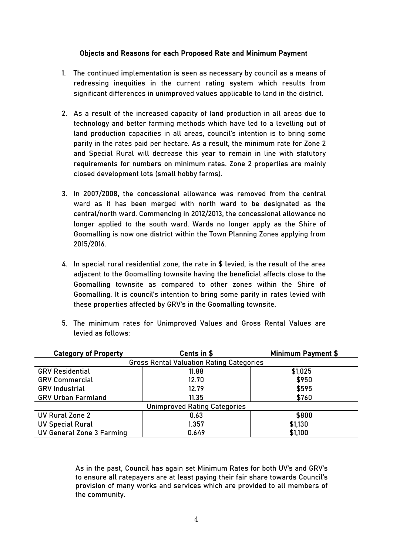#### Objects and Reasons for each Proposed Rate and Minimum Payment

- 1. The continued implementation is seen as necessary by council as a means of redressing inequities in the current rating system which results from significant differences in unimproved values applicable to land in the district.
- 2. As a result of the increased capacity of land production in all areas due to technology and better farming methods which have led to a levelling out of land production capacities in all areas, council's intention is to bring some parity in the rates paid per hectare. As a result, the minimum rate for Zone 2 and Special Rural will decrease this year to remain in line with statutory requirements for numbers on minimum rates. Zone 2 properties are mainly closed development lots (small hobby farms).
- 3. In 2007/2008, the concessional allowance was removed from the central ward as it has been merged with north ward to be designated as the central/north ward. Commencing in 2012/2013, the concessional allowance no longer applied to the south ward. Wards no longer apply as the Shire of Goomalling is now one district within the Town Planning Zones applying from 2015/2016.
- 4. In special rural residential zone, the rate in \$ levied, is the result of the area adjacent to the Goomalling townsite having the beneficial affects close to the Goomalling townsite as compared to other zones within the Shire of Goomalling. It is council's intention to bring some parity in rates levied with these properties affected by GRV's in the Goomalling townsite.
- 5. The minimum rates for Unimproved Values and Gross Rental Values are levied as follows:

| <b>Category of Property</b>                     | Cents in \$<br><b>Minimum Payment \$</b> |         |  |  |  |  |
|-------------------------------------------------|------------------------------------------|---------|--|--|--|--|
| <b>Gross Rental Valuation Rating Categories</b> |                                          |         |  |  |  |  |
| <b>GRV Residential</b>                          | 11.88                                    | \$1,025 |  |  |  |  |
| <b>GRV Commercial</b>                           | 12.70                                    | \$950   |  |  |  |  |
| <b>GRV</b> Industrial                           | 12.79                                    | \$595   |  |  |  |  |
| <b>GRV Urban Farmland</b>                       | 11.35                                    | \$760   |  |  |  |  |
| <b>Unimproved Rating Categories</b>             |                                          |         |  |  |  |  |
| UV Rural Zone 2                                 | 0.63                                     | \$800   |  |  |  |  |
| <b>UV Special Rural</b>                         | 1.357                                    | \$1,130 |  |  |  |  |
| UV General Zone 3 Farming                       | 0.649                                    | \$1,100 |  |  |  |  |

As in the past, Council has again set Minimum Rates for both UV's and GRV's to ensure all ratepayers are at least paying their fair share towards Council's provision of many works and services which are provided to all members of the community.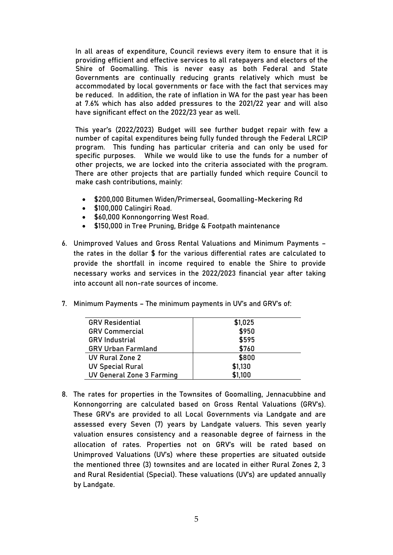In all areas of expenditure, Council reviews every item to ensure that it is providing efficient and effective services to all ratepayers and electors of the Shire of Goomalling. This is never easy as both Federal and State Governments are continually reducing grants relatively which must be accommodated by local governments or face with the fact that services may be reduced. In addition, the rate of inflation in WA for the past year has been at 7.6% which has also added pressures to the 2021/22 year and will also have significant effect on the 2022/23 year as well.

This year's (2022/2023) Budget will see further budget repair with few a number of capital expenditures being fully funded through the Federal LRCIP program. This funding has particular criteria and can only be used for specific purposes. While we would like to use the funds for a number of other projects, we are locked into the criteria associated with the program. There are other projects that are partially funded which require Council to make cash contributions, mainly:

- \$200,000 Bitumen Widen/Primerseal, Goomalling-Meckering Rd
- \$100,000 Calingiri Road.
- \$60,000 Konnongorring West Road.
- \$150,000 in Tree Pruning, Bridge & Footpath maintenance
- 6. Unimproved Values and Gross Rental Valuations and Minimum Payments the rates in the dollar \$ for the various differential rates are calculated to provide the shortfall in income required to enable the Shire to provide necessary works and services in the 2022/2023 financial year after taking into account all non-rate sources of income.
- 7. Minimum Payments The minimum payments in UV's and GRV's of:

| <b>GRV Residential</b>           | \$1,025 |
|----------------------------------|---------|
| <b>GRV Commercial</b>            | \$950   |
| <b>GRV</b> Industrial            | \$595   |
| <b>GRV Urban Farmland</b>        | \$760   |
| UV Rural Zone 2                  | \$800   |
| <b>UV Special Rural</b>          | \$1,130 |
| <b>UV General Zone 3 Farming</b> | \$1,100 |

8. The rates for properties in the Townsites of Goomalling, Jennacubbine and Konnongorring are calculated based on Gross Rental Valuations (GRV's). These GRV's are provided to all Local Governments via Landgate and are assessed every Seven (7) years by Landgate valuers. This seven yearly valuation ensures consistency and a reasonable degree of fairness in the allocation of rates. Properties not on GRV's will be rated based on Unimproved Valuations (UV's) where these properties are situated outside the mentioned three (3) townsites and are located in either Rural Zones 2, 3 and Rural Residential (Special). These valuations (UV's) are updated annually by Landgate.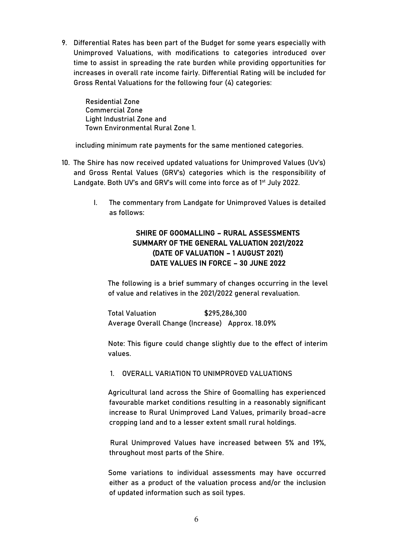9. Differential Rates has been part of the Budget for some years especially with Unimproved Valuations, with modifications to categories introduced over time to assist in spreading the rate burden while providing opportunities for increases in overall rate income fairly. Differential Rating will be included for Gross Rental Valuations for the following four (4) categories:

Residential Zone Commercial Zone Light Industrial Zone and Town Environmental Rural Zone 1.

including minimum rate payments for the same mentioned categories.

- 10. The Shire has now received updated valuations for Unimproved Values (Uv's) and Gross Rental Values (GRV's) categories which is the responsibility of Landgate. Both UV's and GRV's will come into force as of 1<sup>st</sup> July 2022.
	- I. The commentary from Landgate for Unimproved Values is detailed as follows:

### SHIRE OF GOOMALLING – RURAL ASSESSMENTS SUMMARY OF THE GENERAL VALUATION 2021/2022 (DATE OF VALUATION – 1 AUGUST 2021) DATE VALUES IN FORCE – 30 JUNE 2022

The following is a brief summary of changes occurring in the level of value and relatives in the 2021/2022 general revaluation.

Total Valuation \$295,286,300 Average Overall Change (Increase) Approx. 18.09%

Note: This figure could change slightly due to the effect of interim values.

#### 1. OVERALL VARIATION TO UNIMPROVED VALUATIONS

Agricultural land across the Shire of Goomalling has experienced favourable market conditions resulting in a reasonably significant increase to Rural Unimproved Land Values, primarily broad-acre cropping land and to a lesser extent small rural holdings.

Rural Unimproved Values have increased between 5% and 19%, throughout most parts of the Shire.

Some variations to individual assessments may have occurred either as a product of the valuation process and/or the inclusion of updated information such as soil types.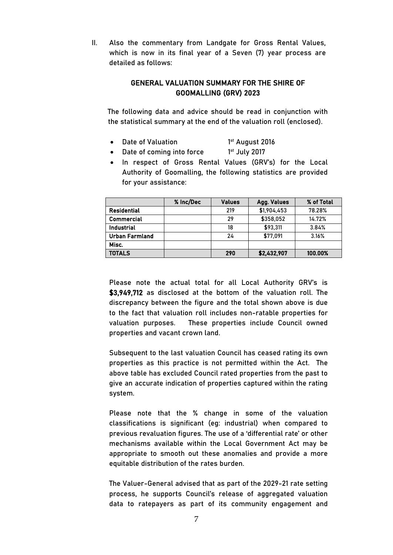II. Also the commentary from Landgate for Gross Rental Values, which is now in its final year of a Seven (7) year process are detailed as follows:

### GENERAL VALUATION SUMMARY FOR THE SHIRE OF GOOMALLING (GRV) 2023

The following data and advice should be read in conjunction with the statistical summary at the end of the valuation roll (enclosed).

- Date of Valuation 1<sup>st</sup> August 2016
- Date of coming into force 1st July 2017
- In respect of Gross Rental Values (GRV's) for the Local Authority of Goomalling, the following statistics are provided for your assistance:

|                    | % Inc/Dec | <b>Values</b> | Agg. Values | % of Total |
|--------------------|-----------|---------------|-------------|------------|
| <b>Residential</b> |           | 219           | \$1,904,453 | 78.28%     |
| <b>Commercial</b>  |           | 29            | \$358,052   | 14.72%     |
| <b>Industrial</b>  |           | 18            | \$93,311    | 3.84%      |
| Urban Farmland     |           | 24            | \$77,091    | 3.16%      |
| Misc.              |           |               |             |            |
| <b>TOTALS</b>      |           | 290           | \$2,432,907 | 100.00%    |

Please note the actual total for all Local Authority GRV's is \$3,949,712 as disclosed at the bottom of the valuation roll. The discrepancy between the figure and the total shown above is due to the fact that valuation roll includes non-ratable properties for valuation purposes. These properties include Council owned properties and vacant crown land.

Subsequent to the last valuation Council has ceased rating its own properties as this practice is not permitted within the Act. The above table has excluded Council rated properties from the past to give an accurate indication of properties captured within the rating system.

Please note that the % change in some of the valuation classifications is significant (eg: industrial) when compared to previous revaluation figures. The use of a 'differential rate' or other mechanisms available within the Local Government Act may be appropriate to smooth out these anomalies and provide a more equitable distribution of the rates burden.

The Valuer-General advised that as part of the 2029-21 rate setting process, he supports Council's release of aggregated valuation data to ratepayers as part of its community engagement and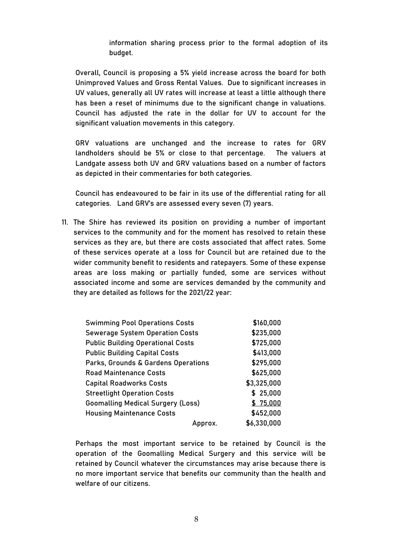information sharing process prior to the formal adoption of its budget.

Overall, Council is proposing a 5% yield increase across the board for both Unimproved Values and Gross Rental Values. Due to significant increases in UV values, generally all UV rates will increase at least a little although there has been a reset of minimums due to the significant change in valuations. Council has adjusted the rate in the dollar for UV to account for the significant valuation movements in this category.

GRV valuations are unchanged and the increase to rates for GRV landholders should be 5% or close to that percentage. The valuers at Landgate assess both UV and GRV valuations based on a number of factors as depicted in their commentaries for both categories.

Council has endeavoured to be fair in its use of the differential rating for all categories. Land GRV's are assessed every seven (7) years.

11. The Shire has reviewed its position on providing a number of important services to the community and for the moment has resolved to retain these services as they are, but there are costs associated that affect rates. Some of these services operate at a loss for Council but are retained due to the wider community benefit to residents and ratepayers. Some of these expense areas are loss making or partially funded, some are services without associated income and some are services demanded by the community and they are detailed as follows for the 2021/22 year:

| <b>Swimming Pool Operations Costs</b>    | \$160,000   |
|------------------------------------------|-------------|
| <b>Sewerage System Operation Costs</b>   | \$235,000   |
| <b>Public Building Operational Costs</b> | \$725,000   |
| <b>Public Building Capital Costs</b>     | \$413,000   |
| Parks, Grounds & Gardens Operations      | \$295,000   |
| <b>Road Maintenance Costs</b>            | \$625,000   |
| <b>Capital Roadworks Costs</b>           | \$3,325,000 |
| <b>Streetlight Operation Costs</b>       | \$25,000    |
| <b>Goomalling Medical Surgery (Loss)</b> | \$75,000    |
| <b>Housing Maintenance Costs</b>         | \$452,000   |
| Approx.                                  | \$6,330,000 |

Perhaps the most important service to be retained by Council is the operation of the Goomalling Medical Surgery and this service will be retained by Council whatever the circumstances may arise because there is no more important service that benefits our community than the health and welfare of our citizens.